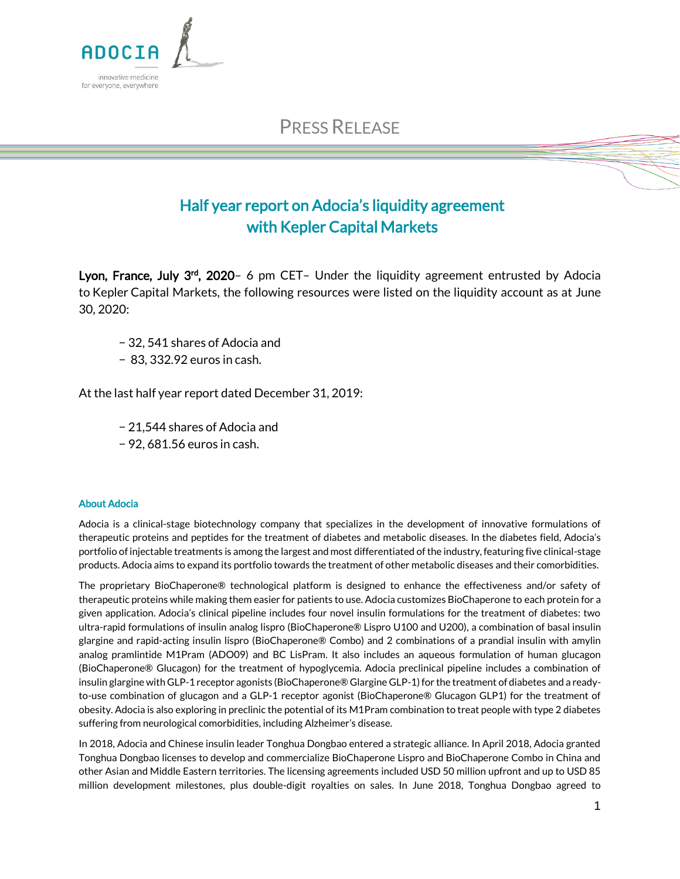

PRESS RELEASE

## Half year report on Adocia's liquidity agreement with Kepler Capital Markets

Lyon, France, July 3rd, 2020- 6 pm CET- Under the liquidity agreement entrusted by Adocia to Kepler Capital Markets, the following resources were listed on the liquidity account as at June 30, 2020:

- − 32, 541 shares of Adocia and
- − 83, 332.92 euros in cash.

At the last half year report dated December 31, 2019:

- − 21,544 shares of Adocia and
- − 92, 681.56 euros in cash.

## About Adocia

Adocia is a clinical-stage biotechnology company that specializes in the development of innovative formulations of therapeutic proteins and peptides for the treatment of diabetes and metabolic diseases. In the diabetes field, Adocia's portfolio of injectable treatments is among the largest and most differentiated of the industry, featuring five clinical-stage products. Adocia aims to expand its portfolio towards the treatment of other metabolic diseases and their comorbidities.

The proprietary BioChaperone® technological platform is designed to enhance the effectiveness and/or safety of therapeutic proteins while making them easier for patients to use. Adocia customizes BioChaperone to each protein for a given application. Adocia's clinical pipeline includes four novel insulin formulations for the treatment of diabetes: two ultra-rapid formulations of insulin analog lispro (BioChaperone® Lispro U100 and U200), a combination of basal insulin glargine and rapid-acting insulin lispro (BioChaperone® Combo) and 2 combinations of a prandial insulin with amylin analog pramlintide M1Pram (ADO09) and BC LisPram. It also includes an aqueous formulation of human glucagon (BioChaperone® Glucagon) for the treatment of hypoglycemia. Adocia preclinical pipeline includes a combination of insulin glargine with GLP-1 receptor agonists (BioChaperone® Glargine GLP-1) for the treatment of diabetes and a readyto-use combination of glucagon and a GLP-1 receptor agonist (BioChaperone® Glucagon GLP1) for the treatment of obesity. Adocia is also exploring in preclinic the potential of its M1Pram combination to treat people with type 2 diabetes suffering from neurological comorbidities, including Alzheimer's disease.

In 2018, Adocia and Chinese insulin leader Tonghua Dongbao entered a strategic alliance. In April 2018, Adocia granted Tonghua Dongbao licenses to develop and commercialize BioChaperone Lispro and BioChaperone Combo in China and other Asian and Middle Eastern territories. The licensing agreements included USD 50 million upfront and up to USD 85 million development milestones, plus double-digit royalties on sales. In June 2018, Tonghua Dongbao agreed to